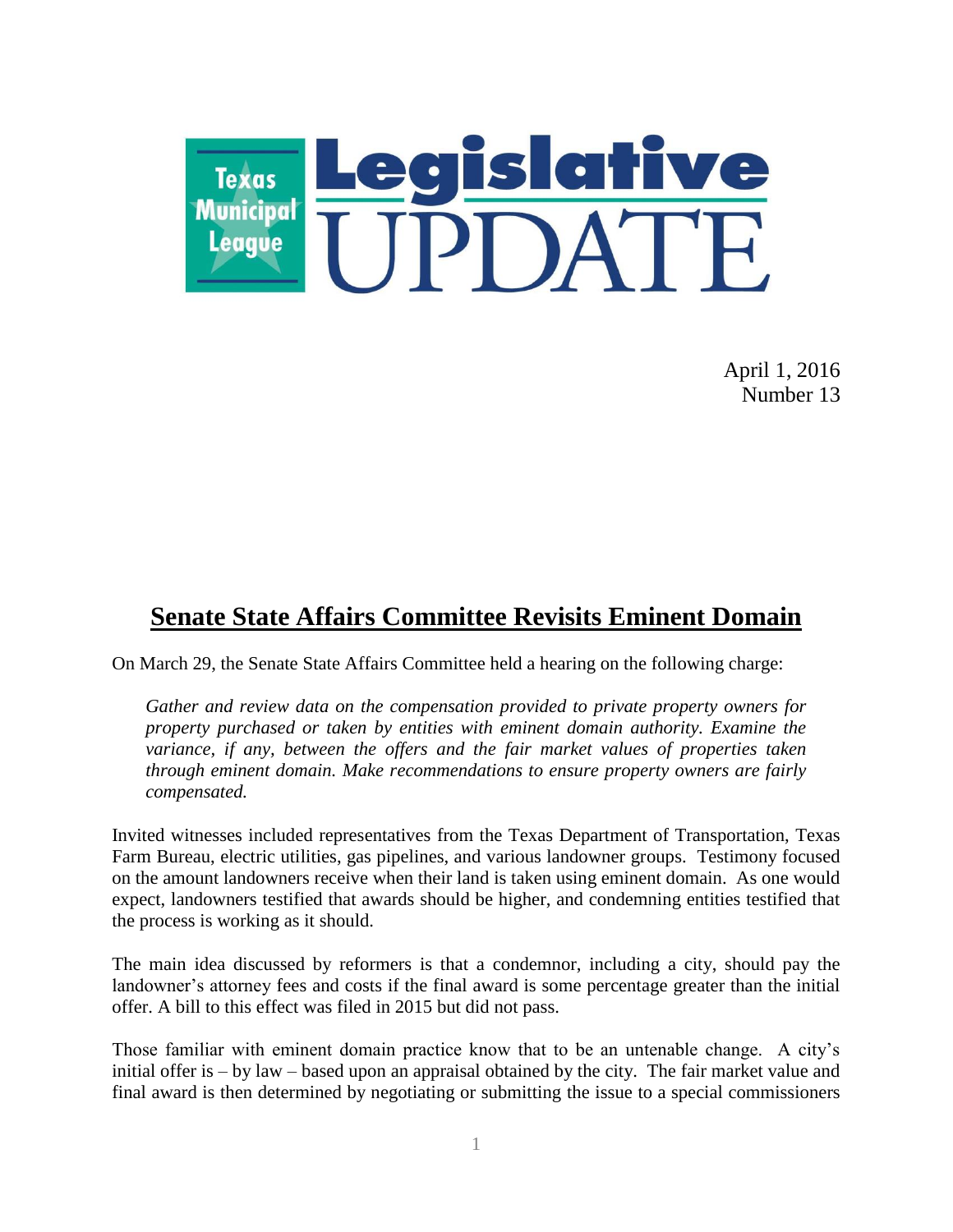

April 1, 2016 Number 13

## **Senate State Affairs Committee Revisits Eminent Domain**

On March 29, the Senate State Affairs Committee held a hearing on the following charge:

*Gather and review data on the compensation provided to private property owners for property purchased or taken by entities with eminent domain authority. Examine the variance, if any, between the offers and the fair market values of properties taken through eminent domain. Make recommendations to ensure property owners are fairly compensated.*

Invited witnesses included representatives from the Texas Department of Transportation, Texas Farm Bureau, electric utilities, gas pipelines, and various landowner groups. Testimony focused on the amount landowners receive when their land is taken using eminent domain. As one would expect, landowners testified that awards should be higher, and condemning entities testified that the process is working as it should.

The main idea discussed by reformers is that a condemnor, including a city, should pay the landowner's attorney fees and costs if the final award is some percentage greater than the initial offer. A bill to this effect was filed in 2015 but did not pass.

Those familiar with eminent domain practice know that to be an untenable change. A city's initial offer is – by law – based upon an appraisal obtained by the city. The fair market value and final award is then determined by negotiating or submitting the issue to a special commissioners